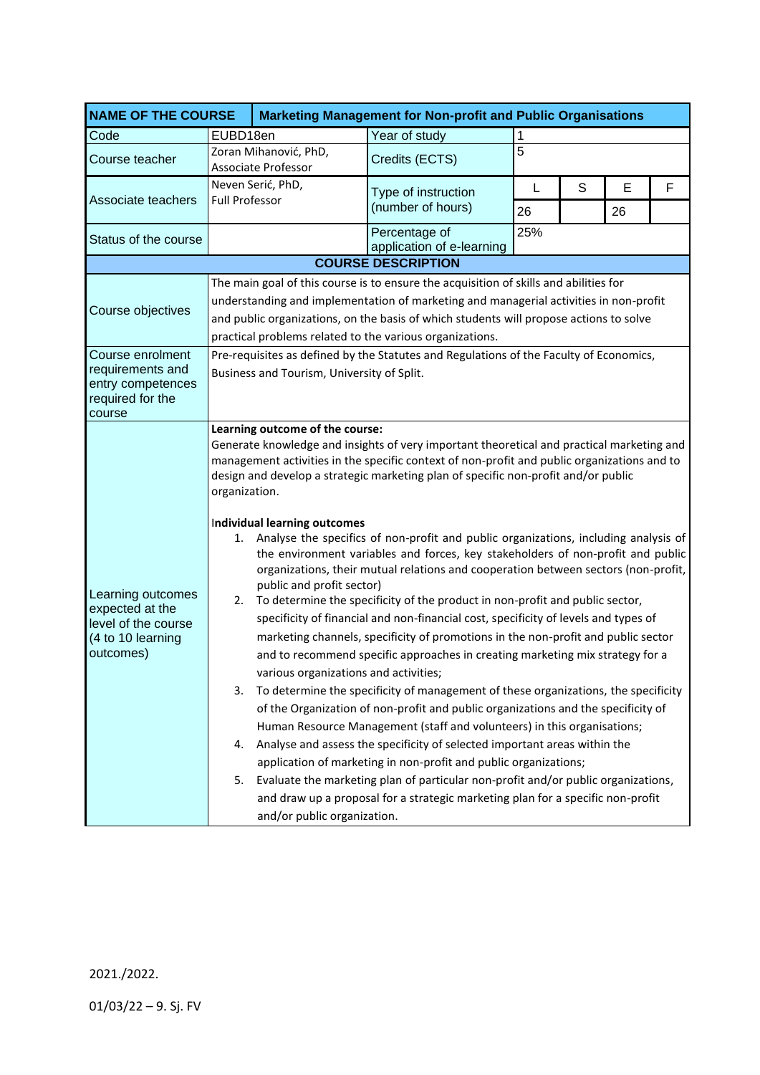| <b>NAME OF THE COURSE</b>                                                                     |                                                                                                                                                                                                                                                                                                                                      |                                                                                                                                                                                                                                                                                                                                                                                                                                                                                                                                                                                                                                                                                                                                                                                                                                                                                                                                                                                                                                                                                                                                                                                                                                                                                                                                                                                                                                                                                                                                                                                                                                  | <b>Marketing Management for Non-profit and Public Organisations</b> |     |   |    |   |  |  |
|-----------------------------------------------------------------------------------------------|--------------------------------------------------------------------------------------------------------------------------------------------------------------------------------------------------------------------------------------------------------------------------------------------------------------------------------------|----------------------------------------------------------------------------------------------------------------------------------------------------------------------------------------------------------------------------------------------------------------------------------------------------------------------------------------------------------------------------------------------------------------------------------------------------------------------------------------------------------------------------------------------------------------------------------------------------------------------------------------------------------------------------------------------------------------------------------------------------------------------------------------------------------------------------------------------------------------------------------------------------------------------------------------------------------------------------------------------------------------------------------------------------------------------------------------------------------------------------------------------------------------------------------------------------------------------------------------------------------------------------------------------------------------------------------------------------------------------------------------------------------------------------------------------------------------------------------------------------------------------------------------------------------------------------------------------------------------------------------|---------------------------------------------------------------------|-----|---|----|---|--|--|
| Code                                                                                          | EUBD18en                                                                                                                                                                                                                                                                                                                             |                                                                                                                                                                                                                                                                                                                                                                                                                                                                                                                                                                                                                                                                                                                                                                                                                                                                                                                                                                                                                                                                                                                                                                                                                                                                                                                                                                                                                                                                                                                                                                                                                                  | Year of study                                                       | 1   |   |    |   |  |  |
| Course teacher                                                                                | Zoran Mihanović, PhD,<br><b>Associate Professor</b>                                                                                                                                                                                                                                                                                  |                                                                                                                                                                                                                                                                                                                                                                                                                                                                                                                                                                                                                                                                                                                                                                                                                                                                                                                                                                                                                                                                                                                                                                                                                                                                                                                                                                                                                                                                                                                                                                                                                                  | Credits (ECTS)                                                      | 5   |   |    |   |  |  |
|                                                                                               | Neven Serić, PhD,                                                                                                                                                                                                                                                                                                                    |                                                                                                                                                                                                                                                                                                                                                                                                                                                                                                                                                                                                                                                                                                                                                                                                                                                                                                                                                                                                                                                                                                                                                                                                                                                                                                                                                                                                                                                                                                                                                                                                                                  | Type of instruction                                                 | L   | S | E  | F |  |  |
| Associate teachers                                                                            | <b>Full Professor</b>                                                                                                                                                                                                                                                                                                                |                                                                                                                                                                                                                                                                                                                                                                                                                                                                                                                                                                                                                                                                                                                                                                                                                                                                                                                                                                                                                                                                                                                                                                                                                                                                                                                                                                                                                                                                                                                                                                                                                                  | (number of hours)                                                   | 26  |   | 26 |   |  |  |
| Status of the course                                                                          |                                                                                                                                                                                                                                                                                                                                      |                                                                                                                                                                                                                                                                                                                                                                                                                                                                                                                                                                                                                                                                                                                                                                                                                                                                                                                                                                                                                                                                                                                                                                                                                                                                                                                                                                                                                                                                                                                                                                                                                                  | Percentage of<br>application of e-learning                          | 25% |   |    |   |  |  |
| <b>COURSE DESCRIPTION</b>                                                                     |                                                                                                                                                                                                                                                                                                                                      |                                                                                                                                                                                                                                                                                                                                                                                                                                                                                                                                                                                                                                                                                                                                                                                                                                                                                                                                                                                                                                                                                                                                                                                                                                                                                                                                                                                                                                                                                                                                                                                                                                  |                                                                     |     |   |    |   |  |  |
| Course objectives                                                                             | The main goal of this course is to ensure the acquisition of skills and abilities for<br>understanding and implementation of marketing and managerial activities in non-profit<br>and public organizations, on the basis of which students will propose actions to solve<br>practical problems related to the various organizations. |                                                                                                                                                                                                                                                                                                                                                                                                                                                                                                                                                                                                                                                                                                                                                                                                                                                                                                                                                                                                                                                                                                                                                                                                                                                                                                                                                                                                                                                                                                                                                                                                                                  |                                                                     |     |   |    |   |  |  |
| Course enrolment<br>requirements and<br>entry competences<br>required for the<br>course       |                                                                                                                                                                                                                                                                                                                                      | Pre-requisites as defined by the Statutes and Regulations of the Faculty of Economics,<br>Business and Tourism, University of Split.                                                                                                                                                                                                                                                                                                                                                                                                                                                                                                                                                                                                                                                                                                                                                                                                                                                                                                                                                                                                                                                                                                                                                                                                                                                                                                                                                                                                                                                                                             |                                                                     |     |   |    |   |  |  |
| Learning outcomes<br>expected at the<br>level of the course<br>(4 to 10 learning<br>outcomes) | Learning outcome of the course:<br>1.<br>2.<br>3.<br>4.<br>5.                                                                                                                                                                                                                                                                        | Generate knowledge and insights of very important theoretical and practical marketing and<br>management activities in the specific context of non-profit and public organizations and to<br>design and develop a strategic marketing plan of specific non-profit and/or public<br>organization.<br>Individual learning outcomes<br>Analyse the specifics of non-profit and public organizations, including analysis of<br>the environment variables and forces, key stakeholders of non-profit and public<br>organizations, their mutual relations and cooperation between sectors (non-profit,<br>public and profit sector)<br>To determine the specificity of the product in non-profit and public sector,<br>specificity of financial and non-financial cost, specificity of levels and types of<br>marketing channels, specificity of promotions in the non-profit and public sector<br>and to recommend specific approaches in creating marketing mix strategy for a<br>various organizations and activities;<br>To determine the specificity of management of these organizations, the specificity<br>of the Organization of non-profit and public organizations and the specificity of<br>Human Resource Management (staff and volunteers) in this organisations;<br>Analyse and assess the specificity of selected important areas within the<br>application of marketing in non-profit and public organizations;<br>Evaluate the marketing plan of particular non-profit and/or public organizations,<br>and draw up a proposal for a strategic marketing plan for a specific non-profit<br>and/or public organization. |                                                                     |     |   |    |   |  |  |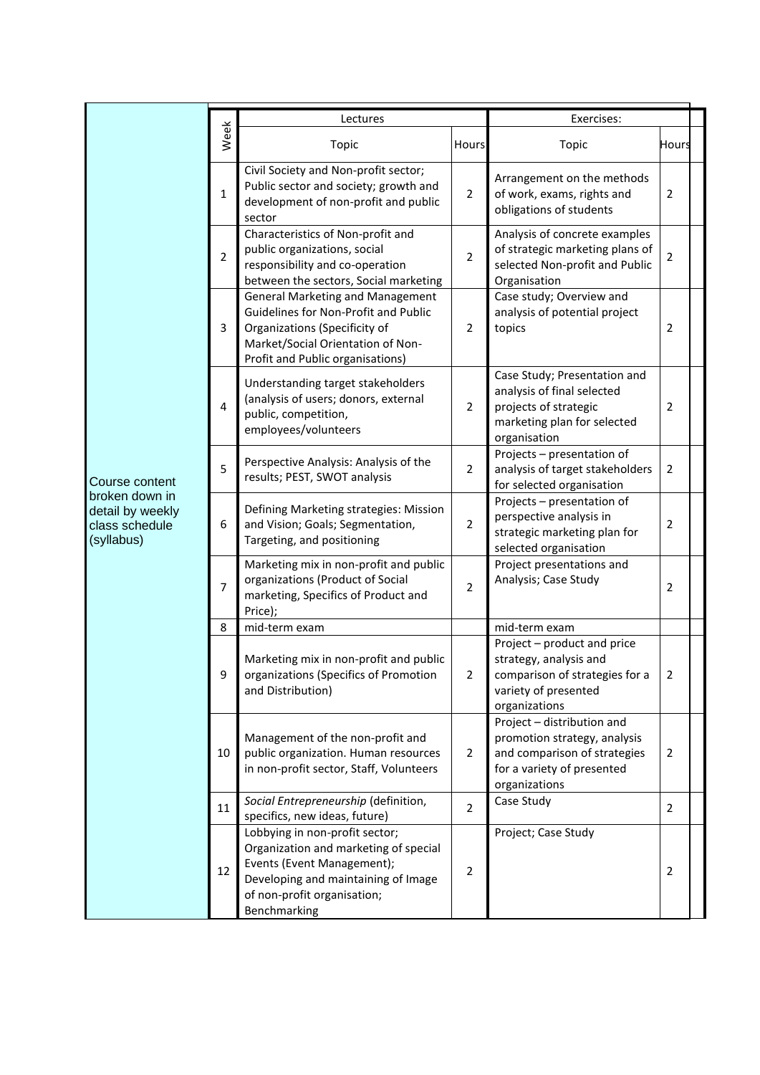|                                                                                      |                | Lectures                                                                                                                                                                                    | Exercises:     |                                                                                                                                           |                |  |
|--------------------------------------------------------------------------------------|----------------|---------------------------------------------------------------------------------------------------------------------------------------------------------------------------------------------|----------------|-------------------------------------------------------------------------------------------------------------------------------------------|----------------|--|
| Course content<br>broken down in<br>detail by weekly<br>class schedule<br>(syllabus) | Week           | Topic                                                                                                                                                                                       | Hours          | Topic                                                                                                                                     | <b>Hours</b>   |  |
|                                                                                      | $\mathbf{1}$   | Civil Society and Non-profit sector;<br>Public sector and society; growth and<br>development of non-profit and public<br>sector                                                             | $\overline{2}$ | Arrangement on the methods<br>of work, exams, rights and<br>obligations of students                                                       | $\overline{2}$ |  |
|                                                                                      | $\overline{2}$ | Characteristics of Non-profit and<br>public organizations, social<br>responsibility and co-operation<br>between the sectors, Social marketing                                               | $\overline{2}$ | Analysis of concrete examples<br>of strategic marketing plans of<br>selected Non-profit and Public<br>Organisation                        | $\overline{2}$ |  |
|                                                                                      | 3              | <b>General Marketing and Management</b><br>Guidelines for Non-Profit and Public<br>Organizations (Specificity of<br>Market/Social Orientation of Non-<br>Profit and Public organisations)   | $\overline{2}$ | Case study; Overview and<br>analysis of potential project<br>topics                                                                       | 2              |  |
|                                                                                      | $\overline{4}$ | Understanding target stakeholders<br>(analysis of users; donors, external<br>public, competition,<br>employees/volunteers                                                                   | $\overline{2}$ | Case Study; Presentation and<br>analysis of final selected<br>projects of strategic<br>marketing plan for selected<br>organisation        | $\overline{2}$ |  |
|                                                                                      | 5              | Perspective Analysis: Analysis of the<br>results; PEST, SWOT analysis                                                                                                                       | $\overline{2}$ | Projects - presentation of<br>analysis of target stakeholders<br>for selected organisation                                                | $\overline{2}$ |  |
|                                                                                      | 6              | Defining Marketing strategies: Mission<br>and Vision; Goals; Segmentation,<br>Targeting, and positioning                                                                                    | $\overline{2}$ | Projects - presentation of<br>perspective analysis in<br>strategic marketing plan for<br>selected organisation                            | $\overline{2}$ |  |
|                                                                                      | 7              | Marketing mix in non-profit and public<br>organizations (Product of Social<br>marketing, Specifics of Product and<br>Price);                                                                | $\overline{2}$ | Project presentations and<br>Analysis; Case Study                                                                                         | $\overline{2}$ |  |
|                                                                                      | 8              | mid-term exam                                                                                                                                                                               |                | mid-term exam                                                                                                                             |                |  |
|                                                                                      | 9              | Marketing mix in non-profit and public<br>organizations (Specifics of Promotion<br>and Distribution)                                                                                        | 2              | Project - product and price<br>strategy, analysis and<br>comparison of strategies for a<br>variety of presented<br>organizations          | 2              |  |
|                                                                                      | 10             | Management of the non-profit and<br>public organization. Human resources<br>in non-profit sector, Staff, Volunteers                                                                         | $\overline{2}$ | Project - distribution and<br>promotion strategy, analysis<br>and comparison of strategies<br>for a variety of presented<br>organizations | $\overline{2}$ |  |
|                                                                                      | 11             | Social Entrepreneurship (definition,<br>specifics, new ideas, future)                                                                                                                       | $\overline{2}$ | Case Study                                                                                                                                | $\overline{2}$ |  |
|                                                                                      | 12             | Lobbying in non-profit sector;<br>Organization and marketing of special<br>Events (Event Management);<br>Developing and maintaining of Image<br>of non-profit organisation;<br>Benchmarking | $\overline{2}$ | Project; Case Study                                                                                                                       | 2              |  |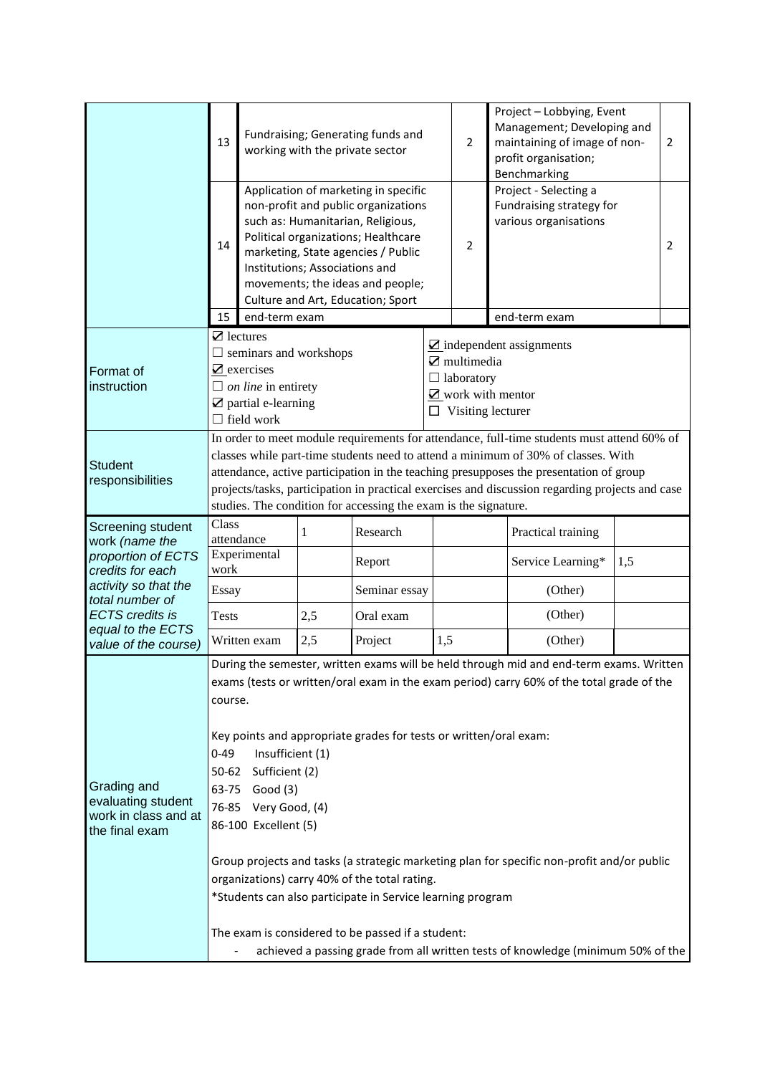|                                                                                        | 13                                                                                                                                                                                                                                                                                                                                                                                                                                                                                                                                                                                                                                                                                                                                                                                      | Fundraising; Generating funds and<br>working with the private sector |                                |                                                                                                                                                                                                                                                                        |                                                                                 | $\overline{2}$ | Project - Lobbying, Event<br>Management; Developing and<br>maintaining of image of non-<br>$\overline{2}$<br>profit organisation;<br>Benchmarking |  |                |
|----------------------------------------------------------------------------------------|-----------------------------------------------------------------------------------------------------------------------------------------------------------------------------------------------------------------------------------------------------------------------------------------------------------------------------------------------------------------------------------------------------------------------------------------------------------------------------------------------------------------------------------------------------------------------------------------------------------------------------------------------------------------------------------------------------------------------------------------------------------------------------------------|----------------------------------------------------------------------|--------------------------------|------------------------------------------------------------------------------------------------------------------------------------------------------------------------------------------------------------------------------------------------------------------------|---------------------------------------------------------------------------------|----------------|---------------------------------------------------------------------------------------------------------------------------------------------------|--|----------------|
|                                                                                        | 14                                                                                                                                                                                                                                                                                                                                                                                                                                                                                                                                                                                                                                                                                                                                                                                      |                                                                      | Institutions; Associations and | Application of marketing in specific<br>non-profit and public organizations<br>such as: Humanitarian, Religious,<br>Political organizations; Healthcare<br>marketing, State agencies / Public<br>movements; the ideas and people;<br>Culture and Art, Education; Sport |                                                                                 | 2              | Project - Selecting a<br>Fundraising strategy for<br>various organisations                                                                        |  | $\overline{2}$ |
|                                                                                        | 15                                                                                                                                                                                                                                                                                                                                                                                                                                                                                                                                                                                                                                                                                                                                                                                      | end-term exam                                                        |                                |                                                                                                                                                                                                                                                                        |                                                                                 |                | end-term exam                                                                                                                                     |  |                |
| Format of<br>instruction                                                               | $\mathbf Z$ lectures<br>$\Box$ seminars and workshops<br>$\mathbf Z$ multimedia<br>$\mathbf Z$ exercises<br>$\Box$ laboratory<br>$\Box$ on line in entirety<br>$\mathbf Z$ partial e-learning<br>$\Box$ Visiting lecturer<br>$\Box$ field work                                                                                                                                                                                                                                                                                                                                                                                                                                                                                                                                          |                                                                      |                                |                                                                                                                                                                                                                                                                        | $\overline{\mathbf{Z}}$ independent assignments<br>$\mathbb Z$ work with mentor |                |                                                                                                                                                   |  |                |
| <b>Student</b><br>responsibilities                                                     | In order to meet module requirements for attendance, full-time students must attend 60% of<br>classes while part-time students need to attend a minimum of 30% of classes. With<br>attendance, active participation in the teaching presupposes the presentation of group<br>projects/tasks, participation in practical exercises and discussion regarding projects and case<br>studies. The condition for accessing the exam is the signature.                                                                                                                                                                                                                                                                                                                                         |                                                                      |                                |                                                                                                                                                                                                                                                                        |                                                                                 |                |                                                                                                                                                   |  |                |
| Screening student<br>work (name the                                                    | Class                                                                                                                                                                                                                                                                                                                                                                                                                                                                                                                                                                                                                                                                                                                                                                                   | attendance                                                           | 1                              | Research                                                                                                                                                                                                                                                               |                                                                                 |                | Practical training                                                                                                                                |  |                |
| proportion of ECTS<br>credits for each                                                 | Experimental<br>work                                                                                                                                                                                                                                                                                                                                                                                                                                                                                                                                                                                                                                                                                                                                                                    |                                                                      |                                | Report                                                                                                                                                                                                                                                                 |                                                                                 |                | Service Learning*<br>1,5                                                                                                                          |  |                |
| activity so that the                                                                   | Essay                                                                                                                                                                                                                                                                                                                                                                                                                                                                                                                                                                                                                                                                                                                                                                                   |                                                                      |                                | Seminar essay                                                                                                                                                                                                                                                          |                                                                                 |                | (Other)                                                                                                                                           |  |                |
| total number of<br><b>ECTS</b> credits is<br>equal to the ECTS<br>value of the course) | <b>Tests</b>                                                                                                                                                                                                                                                                                                                                                                                                                                                                                                                                                                                                                                                                                                                                                                            |                                                                      | 2,5                            | Oral exam                                                                                                                                                                                                                                                              |                                                                                 |                | (Other)                                                                                                                                           |  |                |
|                                                                                        |                                                                                                                                                                                                                                                                                                                                                                                                                                                                                                                                                                                                                                                                                                                                                                                         | Written exam                                                         | 2,5                            | Project                                                                                                                                                                                                                                                                | 1,5                                                                             |                | (Other)                                                                                                                                           |  |                |
| Grading and<br>evaluating student<br>work in class and at<br>the final exam            | During the semester, written exams will be held through mid and end-term exams. Written<br>exams (tests or written/oral exam in the exam period) carry 60% of the total grade of the<br>course.<br>Key points and appropriate grades for tests or written/oral exam:<br>$0 - 49$<br>Insufficient (1)<br>50-62 Sufficient (2)<br>Good (3)<br>63-75<br>76-85 Very Good, (4)<br>86-100 Excellent (5)<br>Group projects and tasks (a strategic marketing plan for specific non-profit and/or public<br>organizations) carry 40% of the total rating.<br>*Students can also participate in Service learning program<br>The exam is considered to be passed if a student:<br>achieved a passing grade from all written tests of knowledge (minimum 50% of the<br>$\qquad \qquad \blacksquare$ |                                                                      |                                |                                                                                                                                                                                                                                                                        |                                                                                 |                |                                                                                                                                                   |  |                |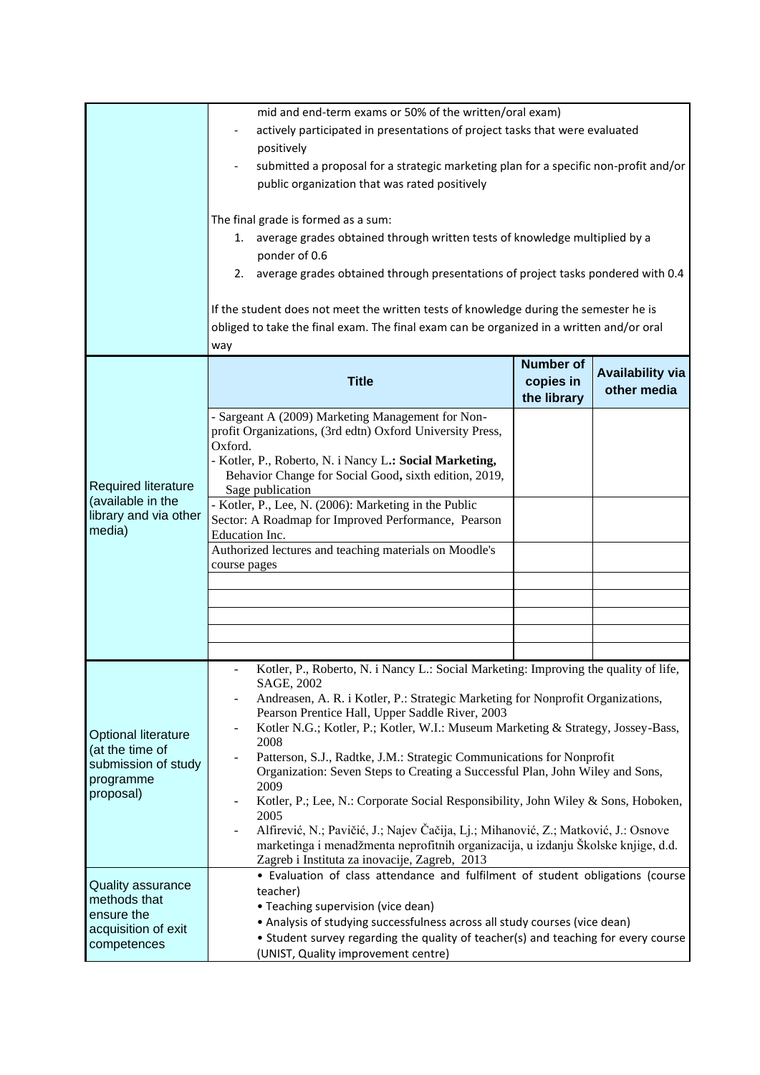|                                                                                                | mid and end-term exams or 50% of the written/oral exam)                                                                             |                  |                         |  |  |  |  |
|------------------------------------------------------------------------------------------------|-------------------------------------------------------------------------------------------------------------------------------------|------------------|-------------------------|--|--|--|--|
|                                                                                                | actively participated in presentations of project tasks that were evaluated                                                         |                  |                         |  |  |  |  |
|                                                                                                | positively                                                                                                                          |                  |                         |  |  |  |  |
|                                                                                                | submitted a proposal for a strategic marketing plan for a specific non-profit and/or                                                |                  |                         |  |  |  |  |
|                                                                                                | public organization that was rated positively                                                                                       |                  |                         |  |  |  |  |
|                                                                                                |                                                                                                                                     |                  |                         |  |  |  |  |
|                                                                                                | The final grade is formed as a sum:<br>1. average grades obtained through written tests of knowledge multiplied by a                |                  |                         |  |  |  |  |
|                                                                                                |                                                                                                                                     |                  |                         |  |  |  |  |
|                                                                                                | ponder of 0.6<br>2. average grades obtained through presentations of project tasks pondered with 0.4                                |                  |                         |  |  |  |  |
|                                                                                                |                                                                                                                                     |                  |                         |  |  |  |  |
|                                                                                                | If the student does not meet the written tests of knowledge during the semester he is                                               |                  |                         |  |  |  |  |
|                                                                                                | obliged to take the final exam. The final exam can be organized in a written and/or oral                                            |                  |                         |  |  |  |  |
|                                                                                                | way                                                                                                                                 |                  |                         |  |  |  |  |
|                                                                                                |                                                                                                                                     | <b>Number of</b> |                         |  |  |  |  |
|                                                                                                | <b>Title</b>                                                                                                                        | copies in        | <b>Availability via</b> |  |  |  |  |
|                                                                                                |                                                                                                                                     | the library      | other media             |  |  |  |  |
|                                                                                                | - Sargeant A (2009) Marketing Management for Non-                                                                                   |                  |                         |  |  |  |  |
|                                                                                                | profit Organizations, (3rd edtn) Oxford University Press,<br>Oxford.                                                                |                  |                         |  |  |  |  |
|                                                                                                | - Kotler, P., Roberto, N. i Nancy L.: Social Marketing,                                                                             |                  |                         |  |  |  |  |
|                                                                                                | Behavior Change for Social Good, sixth edition, 2019,                                                                               |                  |                         |  |  |  |  |
| Required literature<br>(available in the                                                       | Sage publication                                                                                                                    |                  |                         |  |  |  |  |
| library and via other                                                                          | - Kotler, P., Lee, N. (2006): Marketing in the Public                                                                               |                  |                         |  |  |  |  |
| media)                                                                                         | Sector: A Roadmap for Improved Performance, Pearson<br>Education Inc.                                                               |                  |                         |  |  |  |  |
|                                                                                                | Authorized lectures and teaching materials on Moodle's                                                                              |                  |                         |  |  |  |  |
|                                                                                                | course pages                                                                                                                        |                  |                         |  |  |  |  |
|                                                                                                |                                                                                                                                     |                  |                         |  |  |  |  |
|                                                                                                |                                                                                                                                     |                  |                         |  |  |  |  |
|                                                                                                |                                                                                                                                     |                  |                         |  |  |  |  |
|                                                                                                |                                                                                                                                     |                  |                         |  |  |  |  |
|                                                                                                |                                                                                                                                     |                  |                         |  |  |  |  |
| <b>Optional literature</b><br>(at the time of<br>submission of study<br>programme<br>proposal) | Kotler, P., Roberto, N. i Nancy L.: Social Marketing: Improving the quality of life,<br>SAGE, 2002                                  |                  |                         |  |  |  |  |
|                                                                                                | Andreasen, A. R. i Kotler, P.: Strategic Marketing for Nonprofit Organizations,                                                     |                  |                         |  |  |  |  |
|                                                                                                | Pearson Prentice Hall, Upper Saddle River, 2003<br>Kotler N.G.; Kotler, P.; Kotler, W.I.: Museum Marketing & Strategy, Jossey-Bass, |                  |                         |  |  |  |  |
|                                                                                                | 2008                                                                                                                                |                  |                         |  |  |  |  |
|                                                                                                | Patterson, S.J., Radtke, J.M.: Strategic Communications for Nonprofit                                                               |                  |                         |  |  |  |  |
|                                                                                                | Organization: Seven Steps to Creating a Successful Plan, John Wiley and Sons,<br>2009                                               |                  |                         |  |  |  |  |
|                                                                                                | Kotler, P.; Lee, N.: Corporate Social Responsibility, John Wiley & Sons, Hoboken,                                                   |                  |                         |  |  |  |  |
|                                                                                                | 2005                                                                                                                                |                  |                         |  |  |  |  |
|                                                                                                | Alfirević, N.; Pavičić, J.; Najev Čačija, Lj.; Mihanović, Z.; Matković, J.: Osnove                                                  |                  |                         |  |  |  |  |
|                                                                                                | marketinga i menadžmenta neprofitnih organizacija, u izdanju Školske knjige, d.d.<br>Zagreb i Instituta za inovacije, Zagreb, 2013  |                  |                         |  |  |  |  |
|                                                                                                | • Evaluation of class attendance and fulfilment of student obligations (course                                                      |                  |                         |  |  |  |  |
| <b>Quality assurance</b>                                                                       | teacher)                                                                                                                            |                  |                         |  |  |  |  |
| methods that<br>ensure the                                                                     | • Teaching supervision (vice dean)                                                                                                  |                  |                         |  |  |  |  |
| acquisition of exit                                                                            | • Analysis of studying successfulness across all study courses (vice dean)                                                          |                  |                         |  |  |  |  |
| competences                                                                                    | • Student survey regarding the quality of teacher(s) and teaching for every course<br>(UNIST, Quality improvement centre)           |                  |                         |  |  |  |  |
|                                                                                                |                                                                                                                                     |                  |                         |  |  |  |  |